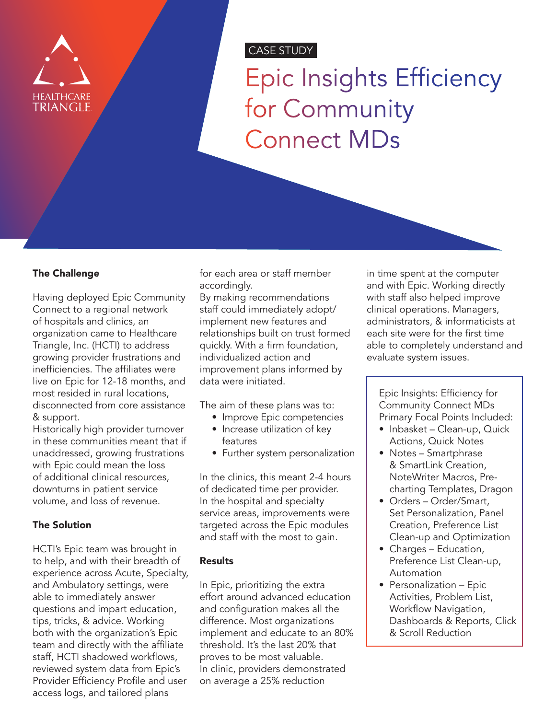

# CASE STUDY

Epic Insights Efficiency for Community Connect MDs

### The Challenge

Having deployed Epic Community Connect to a regional network of hospitals and clinics, an organization came to Healthcare Triangle, Inc. (HCTI) to address growing provider frustrations and inefficiencies. The affiliates were live on Epic for 12-18 months, and most resided in rural locations, disconnected from core assistance & support.

Historically high provider turnover in these communities meant that if unaddressed, growing frustrations with Epic could mean the loss of additional clinical resources, downturns in patient service volume, and loss of revenue.

### The Solution

HCTI's Epic team was brought in to help, and with their breadth of experience across Acute, Specialty, and Ambulatory settings, were able to immediately answer questions and impart education, tips, tricks, & advice. Working both with the organization's Epic team and directly with the affiliate staff, HCTI shadowed workflows, reviewed system data from Epic's Provider Efficiency Profile and user access logs, and tailored plans

for each area or staff member accordingly.

By making recommendations staff could immediately adopt/ implement new features and relationships built on trust formed quickly. With a firm foundation, individualized action and improvement plans informed by data were initiated.

The aim of these plans was to:

- Improve Epic competencies
- Increase utilization of key features
- Further system personalization

In the clinics, this meant 2-4 hours of dedicated time per provider. In the hospital and specialty service areas, improvements were targeted across the Epic modules and staff with the most to gain.

#### Results

In Epic, prioritizing the extra effort around advanced education and configuration makes all the difference. Most organizations implement and educate to an 80% threshold. It's the last 20% that proves to be most valuable. In clinic, providers demonstrated on average a 25% reduction

in time spent at the computer and with Epic. Working directly with staff also helped improve clinical operations. Managers, administrators, & informaticists at each site were for the first time able to completely understand and evaluate system issues.

Epic Insights: Efficiency for Community Connect MDs Primary Focal Points Included:

- Inbasket Clean-up, Quick Actions, Quick Notes
- Notes Smartphrase & SmartLink Creation, NoteWriter Macros, Precharting Templates, Dragon
- Orders Order/Smart, Set Personalization, Panel Creation, Preference List Clean-up and Optimization
- Charges Education, Preference List Clean-up, Automation
- Personalization Epic Activities, Problem List, Workflow Navigation, Dashboards & Reports, Click & Scroll Reduction